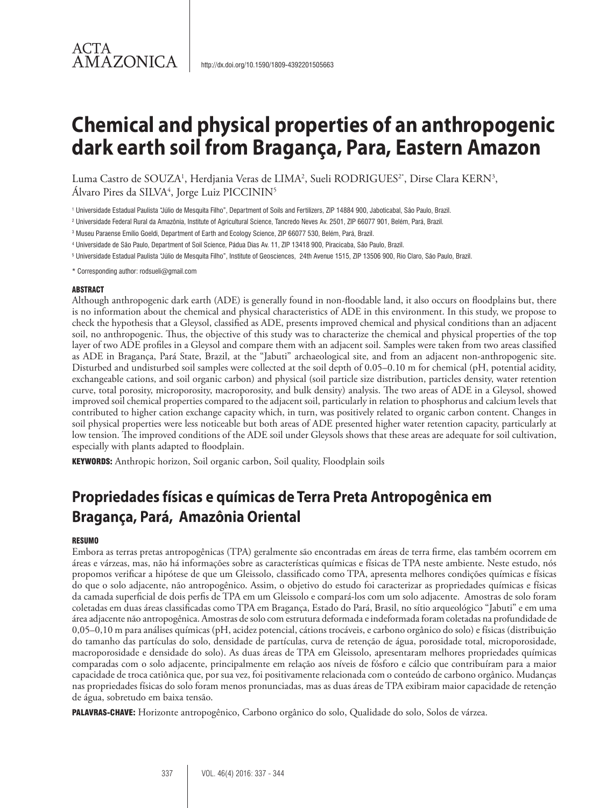# ACTA AMAZONICA

# **Chemical and physical properties of an anthropogenic dark earth soil from Bragança, Para, Eastern Amazon**

Luma Castro de SOUZA<sup>1</sup>, Herdjania Veras de LIMA<sup>2</sup>, Sueli RODRIGUES<sup>2\*</sup>, Dirse Clara KERN<sup>3</sup>, Álvaro Pires da SILVA<sup>4</sup>, Jorge Luiz PICCININ<sup>5</sup>

1 Universidade Estadual Paulista "Júlio de Mesquita Filho", Department of Soils and Fertilizers, ZIP 14884 900, Jaboticabal, São Paulo, Brazil.

2 Universidade Federal Rural da Amazônia, Institute of Agricultural Science, Tancredo Neves Av. 2501, ZIP 66077 901, Belém, Pará, Brazil.

3 Museu Paraense Emílio Goeldi, Department of Earth and Ecology Science, ZIP 66077 530, Belém, Pará, Brazil.

4 Universidade de São Paulo, Department of Soil Science, Pádua Dias Av. 11, ZIP 13418 900, Piracicaba, São Paulo, Brazil.

5 Universidade Estadual Paulista "Júlio de Mesquita Filho", Institute of Geosciences, 24th Avenue 1515, ZIP 13506 900, Rio Claro, São Paulo, Brazil.

\* Corresponding author: rodsueli@gmail.com

#### ABSTRACT

Although anthropogenic dark earth (ADE) is generally found in non-floodable land, it also occurs on floodplains but, there is no information about the chemical and physical characteristics of ADE in this environment. In this study, we propose to check the hypothesis that a Gleysol, classified as ADE, presents improved chemical and physical conditions than an adjacent soil, no anthropogenic. Thus, the objective of this study was to characterize the chemical and physical properties of the top layer of two ADE profiles in a Gleysol and compare them with an adjacent soil. Samples were taken from two areas classified as ADE in Bragança, Pará State, Brazil, at the "Jabuti" archaeological site, and from an adjacent non-anthropogenic site. Disturbed and undisturbed soil samples were collected at the soil depth of 0.05–0.10 m for chemical (pH, potential acidity, exchangeable cations, and soil organic carbon) and physical (soil particle size distribution, particles density, water retention curve, total porosity, microporosity, macroporosity, and bulk density) analysis. The two areas of ADE in a Gleysol, showed improved soil chemical properties compared to the adjacent soil, particularly in relation to phosphorus and calcium levels that contributed to higher cation exchange capacity which, in turn, was positively related to organic carbon content. Changes in soil physical properties were less noticeable but both areas of ADE presented higher water retention capacity, particularly at low tension. The improved conditions of the ADE soil under Gleysols shows that these areas are adequate for soil cultivation, especially with plants adapted to floodplain.

KEYWORDS: Anthropic horizon, Soil organic carbon, Soil quality, Floodplain soils

# **Propriedades físicas e químicas de Terra Preta Antropogênica em Bragança, Pará, Amazônia Oriental**

#### RESUMO

Embora as terras pretas antropogênicas (TPA) geralmente são encontradas em áreas de terra firme, elas também ocorrem em áreas e várzeas, mas, não há informações sobre as características químicas e físicas de TPA neste ambiente. Neste estudo, nós propomos verificar a hipótese de que um Gleissolo, classificado como TPA, apresenta melhores condições químicas e físicas do que o solo adjacente, não antropogênico. Assim, o objetivo do estudo foi caracterizar as propriedades químicas e físicas da camada superficial de dois perfis de TPA em um Gleissolo e compará-los com um solo adjacente. Amostras de solo foram coletadas em duas áreas classificadas como TPA em Bragança, Estado do Pará, Brasil, no sítio arqueológico "Jabuti" e em uma área adjacente não antropogênica. Amostras de solo com estrutura deformada e indeformada foram coletadas na profundidade de 0,05–0,10 m para análises químicas (pH, acidez potencial, cátions trocáveis, e carbono orgânico do solo) e físicas (distribuição do tamanho das partículas do solo, densidade de partículas, curva de retenção de água, porosidade total, microporosidade, macroporosidade e densidade do solo). As duas áreas de TPA em Gleissolo, apresentaram melhores propriedades químicas comparadas com o solo adjacente, principalmente em relação aos níveis de fósforo e cálcio que contribuíram para a maior capacidade de troca catiônica que, por sua vez, foi positivamente relacionada com o conteúdo de carbono orgânico. Mudanças nas propriedades físicas do solo foram menos pronunciadas, mas as duas áreas de TPA exibiram maior capacidade de retenção de água, sobretudo em baixa tensão.

PALAVRAS-CHAVE: Horizonte antropogênico, Carbono orgânico do solo, Qualidade do solo, Solos de várzea.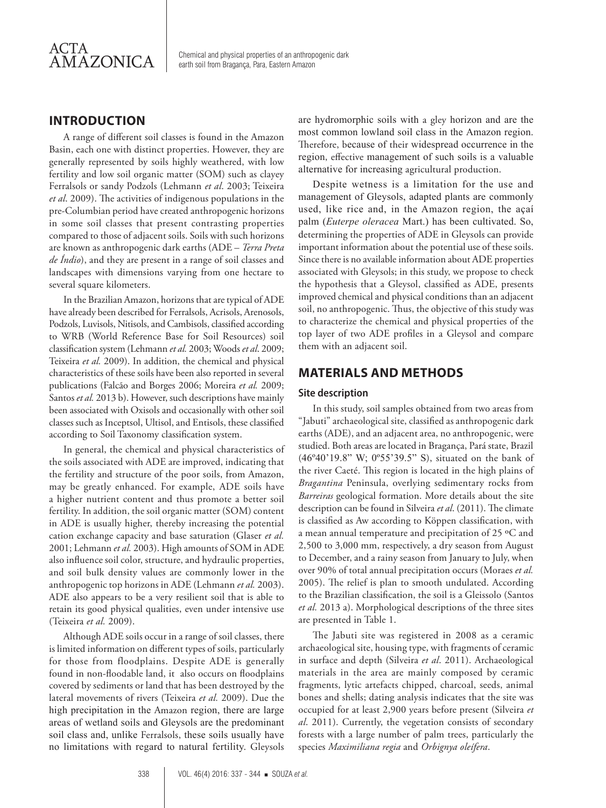

Chemical and physical properties of an anthropogenic dark earth soil from Bragança, Para, Eastern Amazon

# **INTRODUCTION**

A range of different soil classes is found in the Amazon Basin, each one with distinct properties. However, they are generally represented by soils highly weathered, with low fertility and low soil organic matter (SOM) such as clayey Ferralsols or sandy Podzols (Lehmann *et al*. 2003; Teixeira *et al*. 2009). The activities of indigenous populations in the pre-Columbian period have created anthropogenic horizons in some soil classes that present contrasting properties compared to those of adjacent soils. Soils with such horizons are known as anthropogenic dark earths (ADE – *Terra Preta de Índio*), and they are present in a range of soil classes and landscapes with dimensions varying from one hectare to several square kilometers.

In the Brazilian Amazon, horizons that are typical of ADE have already been described for Ferralsols, Acrisols, Arenosols, Podzols, Luvisols, Nitisols, and Cambisols, classified according to WRB (World Reference Base for Soil Resources) soil classification system (Lehmann *et al.* 2003; Woods *et al*. 2009; Teixeira *et al.* 2009). In addition, the chemical and physical characteristics of these soils have been also reported in several publications (Falcão and Borges 2006; Moreira *et al.* 2009; Santos *et al.* 2013 b). However, such descriptions have mainly been associated with Oxisols and occasionally with other soil classes such as Inceptsol, Ultisol, and Entisols, these classified according to Soil Taxonomy classification system.

In general, the chemical and physical characteristics of the soils associated with ADE are improved, indicating that the fertility and structure of the poor soils, from Amazon, may be greatly enhanced. For example, ADE soils have a higher nutrient content and thus promote a better soil fertility. In addition, the soil organic matter (SOM) content in ADE is usually higher, thereby increasing the potential cation exchange capacity and base saturation (Glaser *et al.* 2001; Lehmann *et al.* 2003). High amounts of SOM in ADE also influence soil color, structure, and hydraulic properties, and soil bulk density values are commonly lower in the anthropogenic top horizons in ADE (Lehmann *et al.* 2003). ADE also appears to be a very resilient soil that is able to retain its good physical qualities, even under intensive use (Teixeira *et al.* 2009).

Although ADE soils occur in a range of soil classes, there is limited information on different types of soils, particularly for those from floodplains. Despite ADE is generally found in non-floodable land, it also occurs on floodplains covered by sediments or land that has been destroyed by the lateral movements of rivers (Teixeira *et al.* 2009). Due the high precipitation in the Amazon region, there are large areas of wetland soils and Gleysols are the predominant soil class and, unlike Ferralsols, these soils usually have no limitations with regard to natural fertility. Gleysols are hydromorphic soils with a gley horizon and are the most common lowland soil class in the Amazon region. Therefore, because of their widespread occurrence in the region, effective management of such soils is a valuable alternative for increasing agricultural production.

Despite wetness is a limitation for the use and management of Gleysols, adapted plants are commonly used, like rice and, in the Amazon region, the açaí palm (*Euterpe oleracea* Mart.) has been cultivated. So, determining the properties of ADE in Gleysols can provide important information about the potential use of these soils. Since there is no available information about ADE properties associated with Gleysols; in this study, we propose to check the hypothesis that a Gleysol, classified as ADE, presents improved chemical and physical conditions than an adjacent soil, no anthropogenic. Thus, the objective of this study was to characterize the chemical and physical properties of the top layer of two ADE profiles in a Gleysol and compare them with an adjacent soil.

## **MATERIALS AND METHODS**

#### **Site description**

In this study, soil samples obtained from two areas from "Jabuti" archaeological site, classified as anthropogenic dark earths (ADE), and an adjacent area, no anthropogenic, were studied. Both areas are located in Bragança, Pará state, Brazil (46º40'19.8" W; 0º55'39.5" S), situated on the bank of the river Caeté. This region is located in the high plains of *Bragantina* Peninsula, overlying sedimentary rocks from *Barreiras* geological formation. More details about the site description can be found in Silveira *et al*. (2011). The climate is classified as Aw according to Köppen classification, with a mean annual temperature and precipitation of 25 ºC and 2,500 to 3,000 mm, respectively, a dry season from August to December, and a rainy season from January to July, when over 90% of total annual precipitation occurs (Moraes *et al.* 2005). The relief is plan to smooth undulated. According to the Brazilian classification, the soil is a Gleissolo (Santos *et al.* 2013 a). Morphological descriptions of the three sites are presented in Table 1.

The Jabuti site was registered in 2008 as a ceramic archaeological site, housing type, with fragments of ceramic in surface and depth (Silveira *et al*. 2011). Archaeological materials in the area are mainly composed by ceramic fragments, lytic artefacts chipped, charcoal, seeds, animal bones and shells; dating analysis indicates that the site was occupied for at least 2,900 years before present (Silveira *et al*. 2011). Currently, the vegetation consists of secondary forests with a large number of palm trees, particularly the species *Maximiliana regia* and *Orbignya oleífera*.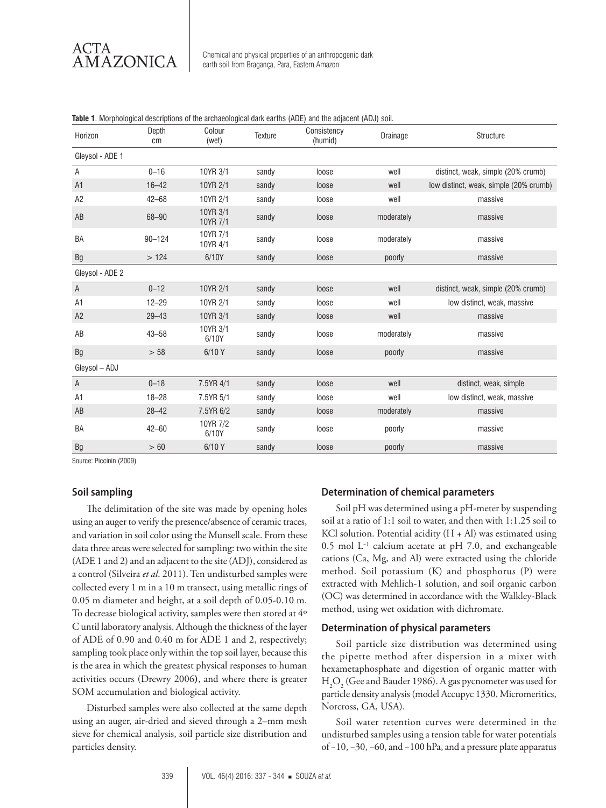ACTA

AMAZONICA Start and physical properties of an anthropogenic dark<br>AMAZONICA earth soil from Bragança, Para, Eastern Amazon earth soil from Bragança, Para, Eastern Amazon

| <b>וו</b> טט נטשט אוויסט אויסט איז די האט האט א א דער דער האט א דער די האט א דער א דער א דער א דעם זי דער די האט א דער |             |                      |         |                        |            |                                        |  |  |
|------------------------------------------------------------------------------------------------------------------------|-------------|----------------------|---------|------------------------|------------|----------------------------------------|--|--|
| Horizon                                                                                                                | Depth<br>cm | Colour<br>(wet)      | Texture | Consistency<br>(humid) | Drainage   | <b>Structure</b>                       |  |  |
| Gleysol - ADE 1                                                                                                        |             |                      |         |                        |            |                                        |  |  |
| Α                                                                                                                      | $0 - 16$    | 10YR 3/1             | sandy   | loose                  | well       | distinct, weak, simple (20% crumb)     |  |  |
| A <sub>1</sub>                                                                                                         | $16 - 42$   | 10YR 2/1             | sandy   | loose                  | well       | low distinct, weak, simple (20% crumb) |  |  |
| A <sub>2</sub>                                                                                                         | $42 - 68$   | 10YR 2/1             | sandy   | loose                  | well       | massive                                |  |  |
| AB                                                                                                                     | 68-90       | 10YR 3/1<br>10YR 7/1 | sandy   | loose                  | moderately | massive                                |  |  |
| BA                                                                                                                     | $90 - 124$  | 10YR 7/1<br>10YR 4/1 | sandy   | loose                  | moderately | massive                                |  |  |
| Bg                                                                                                                     | >124        | 6/10Y                | sandy   | loose                  | poorly     | massive                                |  |  |
| Gleysol - ADE 2                                                                                                        |             |                      |         |                        |            |                                        |  |  |
| A                                                                                                                      | $0 - 12$    | 10YR 2/1             | sandy   | loose                  | well       | distinct, weak, simple (20% crumb)     |  |  |
| A <sub>1</sub>                                                                                                         | $12 - 29$   | 10YR 2/1             | sandy   | loose                  | well       | low distinct, weak, massive            |  |  |
| A2                                                                                                                     | $29 - 43$   | 10YR 3/1             | sandy   | loose                  | well       | massive                                |  |  |
| AB                                                                                                                     | $43 - 58$   | 10YR 3/1<br>6/10Y    | sandy   | loose                  | moderately | massive                                |  |  |
| <b>Bg</b>                                                                                                              | > 58        | 6/10Y                | sandy   | loose                  | poorly     | massive                                |  |  |
| Gleysol - ADJ                                                                                                          |             |                      |         |                        |            |                                        |  |  |
| A                                                                                                                      | $0 - 18$    | 7.5YR 4/1            | sandy   | loose                  | well       | distinct, weak, simple                 |  |  |
| A1                                                                                                                     | $18 - 28$   | 7.5YR 5/1            | sandy   | loose                  | well       | low distinct, weak, massive            |  |  |
| AB                                                                                                                     | $28 - 42$   | 7.5YR 6/2            | sandy   | loose                  | moderately | massive                                |  |  |
| BA                                                                                                                     | $42 - 60$   | 10YR 7/2<br>6/10Y    | sandy   | loose                  | poorly     | massive                                |  |  |
| Bg                                                                                                                     | >60         | 6/10 Y               | sandy   | loose                  | poorly     | massive                                |  |  |

**Table 1**. Morphological descriptions of the archaeological dark earths (ADE) and the adjacent (ADJ) soil.

Source: Piccinin (2009)

#### **Soil sampling**

The delimitation of the site was made by opening holes using an auger to verify the presence/absence of ceramic traces, and variation in soil color using the Munsell scale. From these data three areas were selected for sampling: two within the site (ADE 1 and 2) and an adjacent to the site (ADJ), considered as a control (Silveira *et al*. 2011). Ten undisturbed samples were collected every 1 m in a 10 m transect, using metallic rings of 0.05 m diameter and height, at a soil depth of 0.05-0.10 m. To decrease biological activity, samples were then stored at 4<sup>o</sup> C until laboratory analysis. Although the thickness of the layer of ADE of 0.90 and 0.40 m for ADE 1 and 2, respectively; sampling took place only within the top soil layer, because this is the area in which the greatest physical responses to human activities occurs (Drewry 2006**)**, and where there is greater SOM accumulation and biological activity.

Disturbed samples were also collected at the same depth using an auger, air-dried and sieved through a 2–mm mesh sieve for chemical analysis, soil particle size distribution and particles density.

#### **Determination of chemical parameters**

Soil pH was determined using a pH-meter by suspending soil at a ratio of 1:1 soil to water, and then with 1:1.25 soil to KCl solution. Potential acidity (H + Al) was estimated using 0.5 mol L−1 calcium acetate at pH 7.0, and exchangeable cations (Ca, Mg, and Al) were extracted using the chloride method. Soil potassium (K) and phosphorus (P) were extracted with Mehlich-1 solution, and soil organic carbon (OC) was determined in accordance with the Walkley-Black method, using wet oxidation with dichromate.

#### **Determination of physical parameters**

Soil particle size distribution was determined using the pipette method after dispersion in a mixer with hexametaphosphate and digestion of organic matter with  $\rm H_2O_2$  (Gee and Bauder 1986). A gas pycnometer was used for particle density analysis (model Accupyc 1330, Micromeritics, Norcross, GA, USA).

Soil water retention curves were determined in the undisturbed samples using a tension table for water potentials of −10, −30, −60, and −100 hPa, and a pressure plate apparatus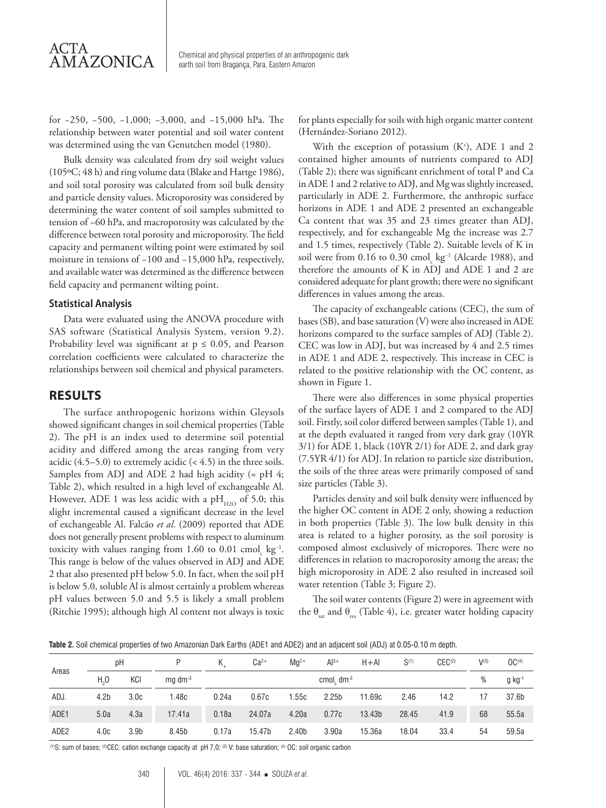for −250, −500, −1,000; −3,000, and −15,000 hPa. The relationship between water potential and soil water content was determined using the van Genutchen model (1980).

Bulk density was calculated from dry soil weight values (105ºC; 48 h) and ring volume data (Blake and Hartge 1986), and soil total porosity was calculated from soil bulk density and particle density values. Microporosity was considered by determining the water content of soil samples submitted to tension of −60 hPa, and macroporosity was calculated by the difference between total porosity and microporosity. The field capacity and permanent wilting point were estimated by soil moisture in tensions of −100 and −15,000 hPa, respectively, and available water was determined as the difference between field capacity and permanent wilting point.

#### **Statistical Analysis**

Data were evaluated using the ANOVA procedure with SAS software (Statistical Analysis System, version 9.2). Probability level was significant at  $p \leq 0.05$ , and Pearson correlation coefficients were calculated to characterize the relationships between soil chemical and physical parameters.

## **RESULTS**

The surface anthropogenic horizons within Gleysols showed significant changes in soil chemical properties (Table 2). The pH is an index used to determine soil potential acidity and differed among the areas ranging from very acidic  $(4.5-5.0)$  to extremely acidic  $(4.5)$  in the three soils. Samples from ADJ and ADE 2 had high acidity ( $\approx$  pH 4; Table 2), which resulted in a high level of exchangeable Al. However, ADE 1 was less acidic with a  $pH_{H2O}$  of 5.0; this slight incremental caused a significant decrease in the level of exchangeable Al. Falcão *et al*. (2009) reported that ADE does not generally present problems with respect to aluminum toxicity with values ranging from  $1.60$  to  $0.01$  cmol<sub>c</sub> kg<sup>-1</sup>. This range is below of the values observed in ADJ and ADE 2 that also presented pH below 5.0. In fact, when the soil pH is below 5.0, soluble Al is almost certainly a problem whereas pH values between 5.0 and 5.5 is likely a small problem (Ritchie 1995); although high Al content not always is toxic

for plants especially for soils with high organic matter content (Hernández-Soriano 2012).

With the exception of potassium  $(K<sup>+</sup>)$ , ADE 1 and 2 contained higher amounts of nutrients compared to ADJ (Table 2); there was significant enrichment of total P and Ca in ADE 1 and 2 relative to ADJ, and Mg was slightly increased, particularly in ADE 2. Furthermore, the anthropic surface horizons in ADE 1 and ADE 2 presented an exchangeable Ca content that was 35 and 23 times greater than ADJ, respectively, and for exchangeable Mg the increase was 2.7 and 1.5 times, respectively (Table 2). Suitable levels of K in soil were from  $0.16$  to  $0.30$  cmol<sub>c</sub> kg<sup>-1</sup> (Alcarde 1988), and therefore the amounts of K in ADJ and ADE 1 and 2 are considered adequate for plant growth; there were no significant differences in values among the areas.

The capacity of exchangeable cations (CEC), the sum of bases (SB), and base saturation (V) were also increased in ADE horizons compared to the surface samples of ADJ (Table 2). CEC was low in ADJ, but was increased by 4 and 2.5 times in ADE 1 and ADE 2, respectively. This increase in CEC is related to the positive relationship with the OC content, as shown in Figure 1.

There were also differences in some physical properties of the surface layers of ADE 1 and 2 compared to the ADJ soil. Firstly, soil color differed between samples (Table 1), and at the depth evaluated it ranged from very dark gray (10YR 3/1) for ADE 1, black (10YR 2/1) for ADE 2, and dark gray (7.5YR 4/1) for ADJ. In relation to particle size distribution, the soils of the three areas were primarily composed of sand size particles (Table 3).

Particles density and soil bulk density were influenced by the higher OC content in ADE 2 only, showing a reduction in both properties (Table 3). The low bulk density in this area is related to a higher porosity, as the soil porosity is composed almost exclusively of micropores. There were no differences in relation to macroporosity among the areas; the high microporosity in ADE 2 also resulted in increased soil water retention (Table 3; Figure 2).

The soil water contents (Figure 2) were in agreement with the  $\theta_{\text{sat}}$  and  $\theta_{\text{res}}$  (Table 4), i.e. greater water holding capacity

**Table 2.** Soil chemical properties of two Amazonian Dark Earths (ADE1 and ADE2) and an adjacent soil (ADJ) at 0.05-0.10 m depth.

| Areas            |                  | pH               |              |                                      | $Ca2+$ | $Ma^{2+}$ | $Al^{3+}$         | $H + AI$ | $S^{(1)}$ | CEC <sup>(2)</sup> | $V^{(3)}$ | OC <sup>(4)</sup>    |
|------------------|------------------|------------------|--------------|--------------------------------------|--------|-----------|-------------------|----------|-----------|--------------------|-----------|----------------------|
|                  | H <sub>o</sub>   | KCI              | $mq$ dm $-3$ | cmol <sub><math>cm^{-3}</math></sub> |        |           |                   |          |           |                    | %         | $g$ kg <sup>-1</sup> |
| ADJ.             | 4.2 <sub>b</sub> | 3.0 <sub>c</sub> | 1.48c        | 0.24a                                | 0.67c  | 1.55c     | 2.25 <sub>b</sub> | 11.69c   | 2.46      | 14.2               | 17        | 37.6b                |
| ADE1             | 5.0a             | 4.3a             | 17.41a       | 0.18a                                | 24.07a | 4.20a     | 0.77c             | 13.43b   | 28.45     | 41.9               | 68        | 55.5a                |
| ADE <sub>2</sub> | 4.0c             | 3.9 <sub>b</sub> | 8.45b        | 0.17a                                | 15.47b | 2.40b     | 3.90a             | 15.36a   | 18.04     | 33.4               | 54        | 59.5a                |

(1)S: sum of bases; (2)CEC: cation exchange capacity at pH 7,0; <sup>(3)</sup> V: base saturation; <sup>(4)</sup> OC: soil organic carbon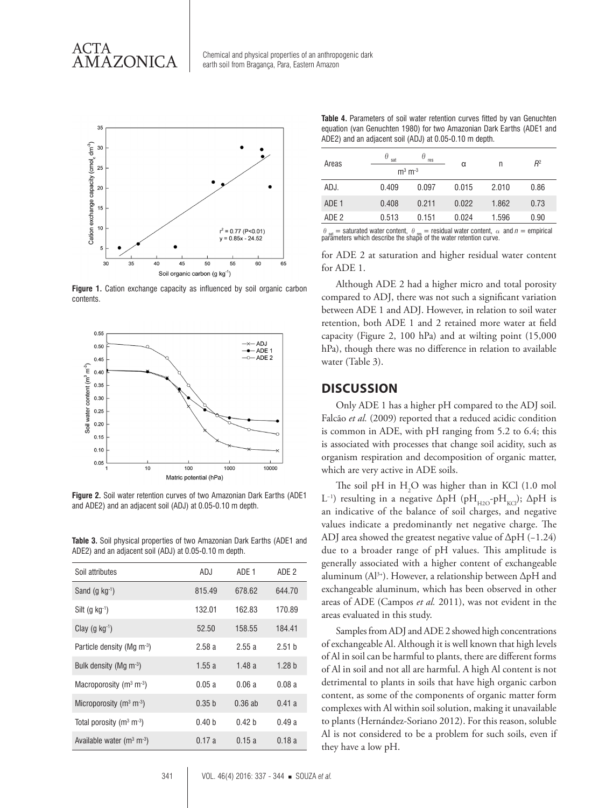# ACTA

 $AMAZONICA$   $\parallel$  Chemical and physical properties of an anthropogenic dark<br> $AMAZONICA$ earth soil from Bragança, Para, Eastern Amazon



**Figure 1.** Cation exchange capacity as influenced by soil organic carbon contents.



**Figure 2.** Soil water retention curves of two Amazonian Dark Earths (ADE1 and ADE2) and an adjacent soil (ADJ) at 0.05-0.10 m depth.

**Table 3.** Soil physical properties of two Amazonian Dark Earths (ADE1 and ADE2) and an adjacent soil (ADJ) at 0.05-0.10 m depth.

| Soil attributes                | ADJ               | ADE 1             | ADE 2             |
|--------------------------------|-------------------|-------------------|-------------------|
| Sand $(g \text{ kg}^{-1})$     | 815.49            | 678.62            | 644.70            |
| Silt $(g kg-1)$                | 132.01            | 162.83            | 170.89            |
| Clay $(g \text{ kg}^{-1})$     | 52.50             | 158.55            | 184.41            |
| Particle density (Mg $m-3$ )   | 2.58a             | 2.55a             | 2.51 <sub>b</sub> |
| Bulk density (Mg m-3)          | 1.55a             | 1.48a             | 1.28 <sub>b</sub> |
| Macroporosity ( $m3 m-3$ )     | 0.05a             | 0.06 a            | 0.08 a            |
| Microporosity ( $m3 m-3$ )     | 0.35 <sub>b</sub> | $0.36$ ab         | 0.41a             |
| Total porosity ( $m3 m-3$ )    | 0.40 <sub>b</sub> | 0.42 <sub>b</sub> | 0.49a             |
| Available water $(m^3 m^{-3})$ | 0.17a             | 0.15a             | 0.18a             |

**Table 4.** Parameters of soil water retention curves fitted by van Genuchten equation (van Genuchten 1980) for two Amazonian Dark Earths (ADE1 and ADE2) and an adjacent soil (ADJ) at 0.05-0.10 m depth.

| Areas | θ<br>sat | θ<br>res<br>$m3 m-3$ | α     | n     | $R^2$ |
|-------|----------|----------------------|-------|-------|-------|
| ADJ.  | 0.409    | 0.097                | 0.015 | 2.010 | 0.86  |
| ADE 1 | 0.408    | 0.211                | 0.022 | 1.862 | 0.73  |
| ADE 2 | 0.513    | 0.151                | 0.024 | 1.596 | 0.90  |

 $θ_{sat}$  = saturated water content,  $θ_{res}$  = residual water content,  $α$  and  $n$  = empirical parameters which describe the shape of the water retention curve.

for ADE 2 at saturation and higher residual water content for ADE 1.

Although ADE 2 had a higher micro and total porosity compared to ADJ, there was not such a significant variation between ADE 1 and ADJ. However, in relation to soil water retention, both ADE 1 and 2 retained more water at field capacity (Figure 2, 100 hPa) and at wilting point (15,000 hPa), though there was no difference in relation to available water (Table 3).

# **DISCUSSION**

Only ADE 1 has a higher pH compared to the ADJ soil. Falcão *et al.* (2009) reported that a reduced acidic condition is common in ADE, with pH ranging from 5.2 to 6.4; this is associated with processes that change soil acidity, such as organism respiration and decomposition of organic matter, which are very active in ADE soils.

The soil pH in  $H_2O$  was higher than in KCl (1.0 mol L<sup>-1</sup>) resulting in a negative  $\Delta$ pH (pH<sub>H2O</sub>-pH<sub>KCl</sub>);  $\Delta$ pH is an indicative of the balance of soil charges, and negative values indicate a predominantly net negative charge. The ADJ area showed the greatest negative value of ΔpH (−1.24) due to a broader range of pH values. This amplitude is generally associated with a higher content of exchangeable aluminum ( $Al^{3+}$ ). However, a relationship between  $\Delta pH$  and exchangeable aluminum, which has been observed in other areas of ADE (Campos *et al.* 2011), was not evident in the areas evaluated in this study.

Samples from ADJ and ADE 2 showed high concentrations of exchangeable Al. Although it is well known that high levels of Al in soil can be harmful to plants, there are different forms of Al in soil and not all are harmful. A high Al content is not detrimental to plants in soils that have high organic carbon content, as some of the components of organic matter form complexes with Al within soil solution, making it unavailable to plants (Hernández-Soriano 2012). For this reason, soluble Al is not considered to be a problem for such soils, even if they have a low pH.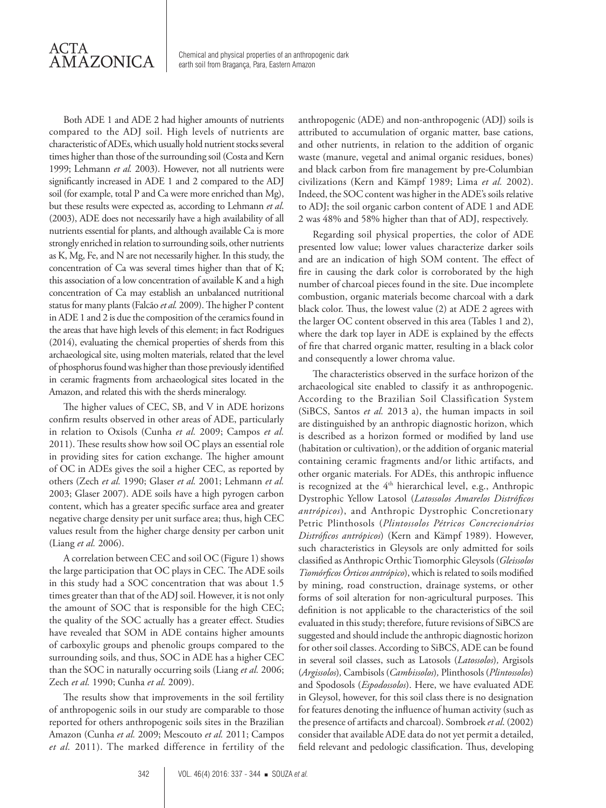Chemical and physical properties of an anthropogenic dark earth soil from Bragança, Para, Eastern Amazon

Both ADE 1 and ADE 2 had higher amounts of nutrients compared to the ADJ soil. High levels of nutrients are characteristic of ADEs, which usually hold nutrient stocks several times higher than those of the surrounding soil (Costa and Kern 1999; Lehmann *et al.* 2003). However, not all nutrients were significantly increased in ADE 1 and 2 compared to the ADJ soil (for example, total P and Ca were more enriched than Mg), but these results were expected as, according to Lehmann *et al*. (2003), ADE does not necessarily have a high availability of all nutrients essential for plants, and although available Ca is more strongly enriched in relation to surrounding soils, other nutrients as K, Mg, Fe, and N are not necessarily higher. In this study, the concentration of Ca was several times higher than that of K; this association of a low concentration of available K and a high concentration of Ca may establish an unbalanced nutritional status for many plants (Falcão *et al.* 2009). The higher P content in ADE 1 and 2 is due the composition of the ceramics found in the areas that have high levels of this element; in fact Rodrigues (2014), evaluating the chemical properties of sherds from this archaeological site, using molten materials, related that the level of phosphorus found was higher than those previously identified in ceramic fragments from archaeological sites located in the Amazon, and related this with the sherds mineralogy.

The higher values of CEC, SB, and V in ADE horizons confirm results observed in other areas of ADE, particularly in relation to Oxisols (Cunha *et al.* 2009; Campos *et al.* 2011). These results show how soil OC plays an essential role in providing sites for cation exchange. The higher amount of OC in ADEs gives the soil a higher CEC, as reported by others (Zech *et al.* 1990; Glaser *et al.* 2001; Lehmann *et al.* 2003; Glaser 2007). ADE soils have a high pyrogen carbon content, which has a greater specific surface area and greater negative charge density per unit surface area; thus, high CEC values result from the higher charge density per carbon unit (Liang *et al.* 2006).

A correlation between CEC and soil OC (Figure 1) shows the large participation that OC plays in CEC. The ADE soils in this study had a SOC concentration that was about 1.5 times greater than that of the ADJ soil. However, it is not only the amount of SOC that is responsible for the high CEC; the quality of the SOC actually has a greater effect. Studies have revealed that SOM in ADE contains higher amounts of carboxylic groups and phenolic groups compared to the surrounding soils, and thus, SOC in ADE has a higher CEC than the SOC in naturally occurring soils (Liang *et al.* 2006; Zech *et al.* 1990; Cunha *et al.* 2009).

The results show that improvements in the soil fertility of anthropogenic soils in our study are comparable to those reported for others anthropogenic soils sites in the Brazilian Amazon (Cunha *et al.* 2009; Mescouto *et al.* 2011; Campos *et al.* 2011). The marked difference in fertility of the anthropogenic (ADE) and non-anthropogenic (ADJ) soils is attributed to accumulation of organic matter, base cations, and other nutrients, in relation to the addition of organic waste (manure, vegetal and animal organic residues, bones) and black carbon from fire management by pre-Columbian civilizations (Kern and Kämpf 1989; Lima *et al.* 2002). Indeed, the SOC content was higher in the ADE's soils relative to ADJ; the soil organic carbon content of ADE 1 and ADE 2 was 48% and 58% higher than that of ADJ, respectively.

Regarding soil physical properties, the color of ADE presented low value; lower values characterize darker soils and are an indication of high SOM content. The effect of fire in causing the dark color is corroborated by the high number of charcoal pieces found in the site. Due incomplete combustion, organic materials become charcoal with a dark black color. Thus, the lowest value (2) at ADE 2 agrees with the larger OC content observed in this area (Tables 1 and 2), where the dark top layer in ADE is explained by the effects of fire that charred organic matter, resulting in a black color and consequently a lower chroma value.

The characteristics observed in the surface horizon of the archaeological site enabled to classify it as anthropogenic. According to the Brazilian Soil Classification System (SiBCS, Santos *et al.* 2013 a), the human impacts in soil are distinguished by an anthropic diagnostic horizon, which is described as a horizon formed or modified by land use (habitation or cultivation), or the addition of organic material containing ceramic fragments and/or lithic artifacts, and other organic materials. For ADEs, this anthropic influence is recognized at the 4<sup>th</sup> hierarchical level, e.g., Anthropic Dystrophic Yellow Latosol (*Latossolos Amarelos Distróficos antrópicos*), and Anthropic Dystrophic Concretionary Petric Plinthosols (*Plintossolos Pétricos Concrecionários Distróficos antrópicos*) (Kern and Kämpf 1989). However, such characteristics in Gleysols are only admitted for soils classified as Anthropic Orthic Tiomorphic Gleysols (*Gleissolos Tiomórficos Órticos antrópico*), which is related to soils modified by mining, road construction, drainage systems, or other forms of soil alteration for non-agricultural purposes. This definition is not applicable to the characteristics of the soil evaluated in this study; therefore, future revisions of SiBCS are suggested and should include the anthropic diagnostic horizon for other soil classes. According to SiBCS, ADE can be found in several soil classes, such as Latosols (*Latossolos*)*,* Argisols (*Argissolos*)*,* Cambisols (*Cambissolos*)*,* Plinthosols (*Plintossolos*) and Spodosols (*Espodossolos*). Here, we have evaluated ADE in Gleysol, however, for this soil class there is no designation for features denoting the influence of human activity (such as the presence of artifacts and charcoal). Sombroek *et al*. (2002) consider that available ADE data do not yet permit a detailed, field relevant and pedologic classification. Thus, developing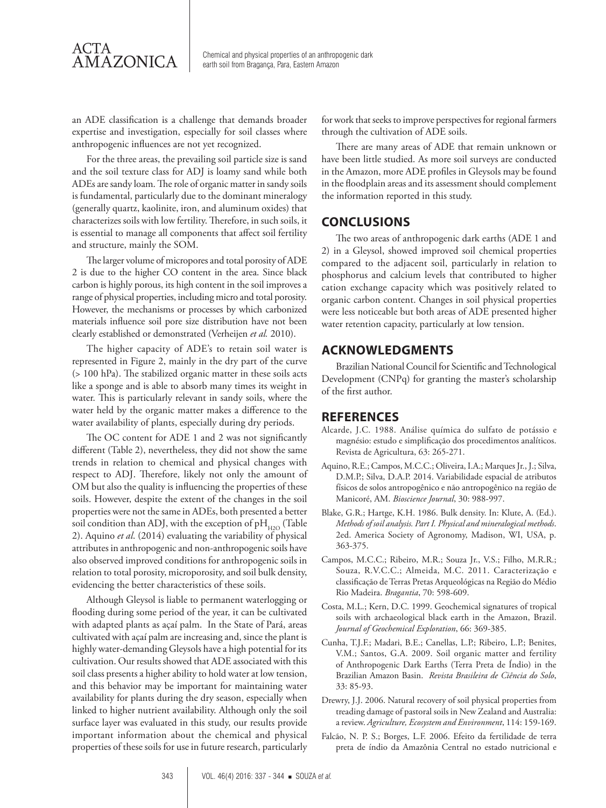

AMAZONICA | Chemical and physical properties of an anthropogenic dark<br>
earth soil from Bragança, Para, Eastern Amazon earth soil from Bragança, Para, Eastern Amazon

an ADE classification is a challenge that demands broader expertise and investigation, especially for soil classes where anthropogenic influences are not yet recognized.

For the three areas, the prevailing soil particle size is sand and the soil texture class for ADJ is loamy sand while both ADEs are sandy loam. The role of organic matter in sandy soils is fundamental, particularly due to the dominant mineralogy (generally quartz, kaolinite, iron, and aluminum oxides) that characterizes soils with low fertility. Therefore, in such soils, it is essential to manage all components that affect soil fertility and structure, mainly the SOM.

The larger volume of micropores and total porosity of ADE 2 is due to the higher CO content in the area. Since black carbon is highly porous, its high content in the soil improves a range of physical properties, including micro and total porosity. However, the mechanisms or processes by which carbonized materials influence soil pore size distribution have not been clearly established or demonstrated (Verheijen *et al.* 2010).

The higher capacity of ADE's to retain soil water is represented in Figure 2, mainly in the dry part of the curve (> 100 hPa). The stabilized organic matter in these soils acts like a sponge and is able to absorb many times its weight in water. This is particularly relevant in sandy soils, where the water held by the organic matter makes a difference to the water availability of plants, especially during dry periods.

The OC content for ADE 1 and 2 was not significantly different (Table 2), nevertheless, they did not show the same trends in relation to chemical and physical changes with respect to ADJ. Therefore, likely not only the amount of OM but also the quality is influencing the properties of these soils. However, despite the extent of the changes in the soil properties were not the same in ADEs, both presented a better soil condition than ADJ, with the exception of  $pH_{H2O}$  (Table 2). Aquino *et al*. (2014) evaluating the variability of physical attributes in anthropogenic and non-anthropogenic soils have also observed improved conditions for anthropogenic soils in relation to total porosity, microporosity, and soil bulk density, evidencing the better characteristics of these soils.

Although Gleysol is liable to permanent waterlogging or flooding during some period of the year, it can be cultivated with adapted plants as açaí palm. In the State of Pará, areas cultivated with açaí palm are increasing and, since the plant is highly water-demanding Gleysols have a high potential for its cultivation. Our results showed that ADE associated with this soil class presents a higher ability to hold water at low tension, and this behavior may be important for maintaining water availability for plants during the dry season, especially when linked to higher nutrient availability. Although only the soil surface layer was evaluated in this study, our results provide important information about the chemical and physical properties of these soils for use in future research, particularly for work that seeks to improve perspectives for regional farmers through the cultivation of ADE soils.

There are many areas of ADE that remain unknown or have been little studied. As more soil surveys are conducted in the Amazon, more ADE profiles in Gleysols may be found in the floodplain areas and its assessment should complement the information reported in this study.

## **CONCLUSIONS**

The two areas of anthropogenic dark earths (ADE 1 and 2) in a Gleysol, showed improved soil chemical properties compared to the adjacent soil, particularly in relation to phosphorus and calcium levels that contributed to higher cation exchange capacity which was positively related to organic carbon content. Changes in soil physical properties were less noticeable but both areas of ADE presented higher water retention capacity, particularly at low tension.

### **ACKNOWLEDGMENTS**

Brazilian National Council for Scientific and Technological Development (CNPq) for granting the master's scholarship of the first author.

#### **REFERENCES**

- Alcarde, J.C. 1988. Análise química do sulfato de potássio e magnésio: estudo e simplificação dos procedimentos analíticos. Revista de Agricultura, 63: 265-271.
- Aquino, R.E.; Campos, M.C.C.; Oliveira, I.A.; Marques Jr., J.; Silva, D.M.P.; Silva, D.A.P. 2014. Variabilidade espacial de atributos físicos de solos antropogênico e não antropogênico na região de Manicoré, AM. *Bioscience Journal*, 30: 988-997.
- Blake, G.R.; Hartge, K.H. 1986. Bulk density. In: Klute, A. (Ed.). *Methods of soil analysis. Part I. Physical and mineralogical methods*. 2ed. America Society of Agronomy, Madison, WI, USA, p. 363-375.
- Campos, M.C.C.; Ribeiro, M.R.; Souza Jr., V.S.; Filho, M.R.R.; Souza, R.V.C.C.; Almeida, M.C. 2011. Caracterização e classificação de Terras Pretas Arqueológicas na Região do Médio Rio Madeira. *Bragantia*, 70: 598-609.
- Costa, M.L.; Kern, D.C. 1999. Geochemical signatures of tropical soils with archaeological black earth in the Amazon, Brazil. *Journal of Geochemical Exploration*, 66: 369-385.
- Cunha, T.J.F.; Madari, B.E.; Canellas, L.P.; Ribeiro, L.P.; Benites, V.M.; Santos, G.A. 2009. Soil organic matter and fertility of Anthropogenic Dark Earths (Terra Preta de Índio) in the Brazilian Amazon Basin. *Revista Brasileira de Ciência do Solo*, 33: 85-93.
- Drewry, J.J. 2006. Natural recovery of soil physical properties from treading damage of pastoral soils in New Zealand and Australia: a review. *Agriculture, Ecosystem and Environment*, 114: 159-169.
- Falcão, N. P. S.; Borges, L.F. 2006. Efeito da fertilidade de terra preta de índio da Amazônia Central no estado nutricional e